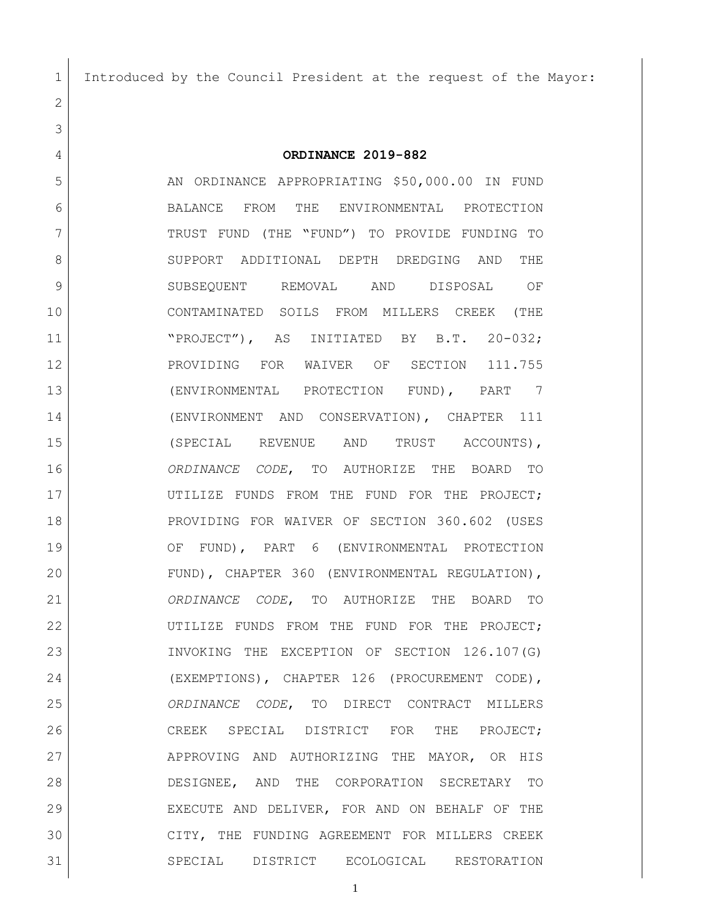Introduced by the Council President at the request of the Mayor:

 **ORDINANCE 2019-882** 5 AN ORDINANCE APPROPRIATING \$50,000.00 IN FUND BALANCE FROM THE ENVIRONMENTAL PROTECTION TRUST FUND (THE "FUND") TO PROVIDE FUNDING TO 8 SUPPORT ADDITIONAL DEPTH DREDGING AND THE SUBSEQUENT REMOVAL AND DISPOSAL OF CONTAMINATED SOILS FROM MILLERS CREEK (THE 11 | NEROJECT"), AS INITIATED BY B.T. 20-032; 12 PROVIDING FOR WAIVER OF SECTION 111.755 (ENVIRONMENTAL PROTECTION FUND), PART 7 (ENVIRONMENT AND CONSERVATION), CHAPTER 111 (SPECIAL REVENUE AND TRUST ACCOUNTS), *ORDINANCE CODE*, TO AUTHORIZE THE BOARD TO UTILIZE FUNDS FROM THE FUND FOR THE PROJECT; PROVIDING FOR WAIVER OF SECTION 360.602 (USES OF FUND), PART 6 (ENVIRONMENTAL PROTECTION FUND), CHAPTER 360 (ENVIRONMENTAL REGULATION), *ORDINANCE CODE*, TO AUTHORIZE THE BOARD TO 22 UTILIZE FUNDS FROM THE FUND FOR THE PROJECT; INVOKING THE EXCEPTION OF SECTION 126.107(G) (EXEMPTIONS), CHAPTER 126 (PROCUREMENT CODE), *ORDINANCE CODE*, TO DIRECT CONTRACT MILLERS CREEK SPECIAL DISTRICT FOR THE PROJECT; 27 APPROVING AND AUTHORIZING THE MAYOR, OR HIS DESIGNEE, AND THE CORPORATION SECRETARY TO EXECUTE AND DELIVER, FOR AND ON BEHALF OF THE CITY, THE FUNDING AGREEMENT FOR MILLERS CREEK

SPECIAL DISTRICT ECOLOGICAL RESTORATION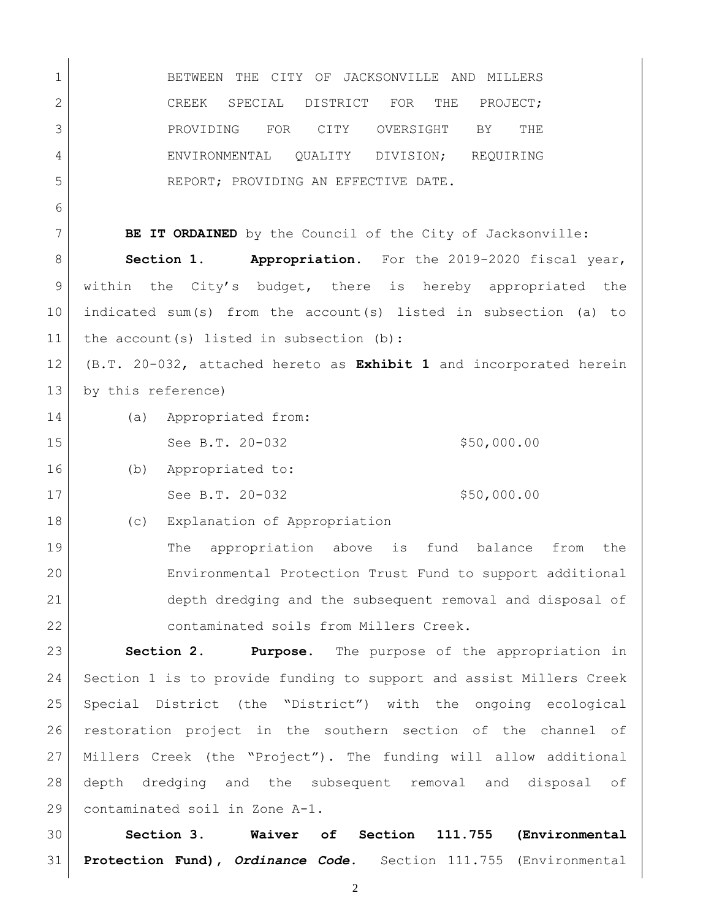BETWEEN THE CITY OF JACKSONVILLE AND MILLERS 2 CREEK SPECIAL DISTRICT FOR THE PROJECT; PROVIDING FOR CITY OVERSIGHT BY THE 4 ENVIRONMENTAL OUALITY DIVISION; REQUIRING REPORT; PROVIDING AN EFFECTIVE DATE.

**BE IT ORDAINED** by the Council of the City of Jacksonville:

**Section 1. Appropriation.** For the 2019-2020 fiscal year, within the City's budget, there is hereby appropriated the indicated sum(s) from the account(s) listed in subsection (a) to 11 the account(s) listed in subsection (b):

 (B.T. 20-032, attached hereto as **Exhibit 1** and incorporated herein 13 by this reference)

(a) Appropriated from:

15 See B.T. 20-032 \$50,000.00

(b) Appropriated to:

17 See B.T. 20-032 \$50,000.00

(c) Explanation of Appropriation

19 | The appropriation above is fund balance from the Environmental Protection Trust Fund to support additional depth dredging and the subsequent removal and disposal of contaminated soils from Millers Creek.

 **Section 2. Purpose.** The purpose of the appropriation in Section 1 is to provide funding to support and assist Millers Creek Special District (the "District") with the ongoing ecological restoration project in the southern section of the channel of Millers Creek (the "Project"). The funding will allow additional depth dredging and the subsequent removal and disposal of contaminated soil in Zone A-1.

 **Section 3. Waiver of Section 111.755 (Environmental Protection Fund),** *Ordinance Code***.** Section 111.755 (Environmental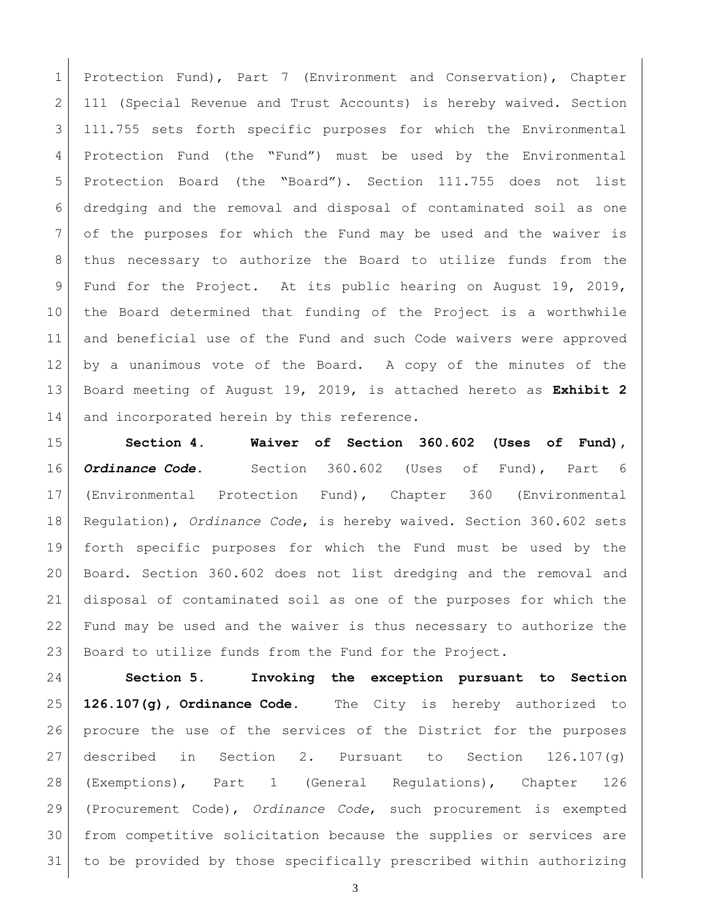1 Protection Fund), Part 7 (Environment and Conservation), Chapter 2 111 (Special Revenue and Trust Accounts) is hereby waived. Section 111.755 sets forth specific purposes for which the Environmental Protection Fund (the "Fund") must be used by the Environmental Protection Board (the "Board"). Section 111.755 does not list dredging and the removal and disposal of contaminated soil as one of the purposes for which the Fund may be used and the waiver is thus necessary to authorize the Board to utilize funds from the Fund for the Project. At its public hearing on August 19, 2019, the Board determined that funding of the Project is a worthwhile and beneficial use of the Fund and such Code waivers were approved by a unanimous vote of the Board. A copy of the minutes of the Board meeting of August 19, 2019, is attached hereto as **Exhibit 2** 14 and incorporated herein by this reference.

 **Section 4. Waiver of Section 360.602 (Uses of Fund),**  *Ordinance Code***.** Section 360.602 (Uses of Fund), Part 6 (Environmental Protection Fund), Chapter 360 (Environmental Regulation), *Ordinance Code*, is hereby waived. Section 360.602 sets forth specific purposes for which the Fund must be used by the Board. Section 360.602 does not list dredging and the removal and disposal of contaminated soil as one of the purposes for which the Fund may be used and the waiver is thus necessary to authorize the Board to utilize funds from the Fund for the Project.

 **Section 5. Invoking the exception pursuant to Section 126.107(g), Ordinance Code.** The City is hereby authorized to procure the use of the services of the District for the purposes described in Section 2. Pursuant to Section 126.107(g) (Exemptions), Part 1 (General Regulations), Chapter 126 (Procurement Code), *Ordinance Code*, such procurement is exempted from competitive solicitation because the supplies or services are to be provided by those specifically prescribed within authorizing